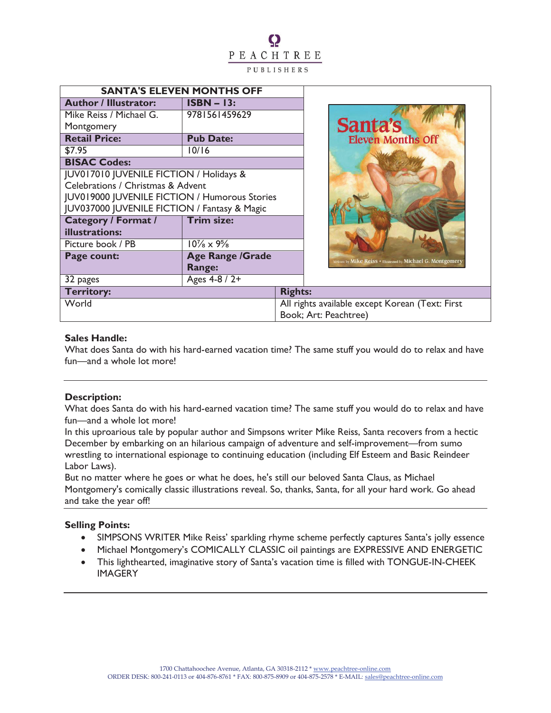# Q PEACHTREE PUBLISHERS

| <b>SANTA'S ELEVEN MONTHS OFF</b>              |                         |                       |                                                              |  |
|-----------------------------------------------|-------------------------|-----------------------|--------------------------------------------------------------|--|
| <b>Author / Illustrator:</b>                  | $ISBN - 13:$            |                       |                                                              |  |
| Mike Reiss / Michael G.                       | 9781561459629           |                       |                                                              |  |
| Montgomery                                    |                         |                       | Santa's                                                      |  |
| <b>Retail Price:</b>                          | <b>Pub Date:</b>        |                       | <b>Eleven Months Off</b>                                     |  |
| \$7.95                                        | 10/16                   |                       |                                                              |  |
| <b>BISAC Codes:</b>                           |                         |                       |                                                              |  |
| JUV017010 JUVENILE FICTION / Holidays &       |                         |                       |                                                              |  |
| Celebrations / Christmas & Advent             |                         |                       |                                                              |  |
| JUV019000 JUVENILE FICTION / Humorous Stories |                         |                       |                                                              |  |
| JUV037000 JUVENILE FICTION / Fantasy & Magic  |                         |                       |                                                              |  |
| <b>Category / Format /</b>                    | <b>Trim size:</b>       |                       |                                                              |  |
| illustrations:                                |                         |                       |                                                              |  |
| Picture book / PB                             | $10\% \times 9\%$       |                       |                                                              |  |
| Page count:                                   | <b>Age Range /Grade</b> |                       | Written by Mike Reiss • Illustrated by Michael G. Montgomery |  |
|                                               | Range:                  |                       |                                                              |  |
| 32 pages                                      | Ages $4-8/2+$           |                       |                                                              |  |
| <b>Territory:</b>                             |                         | <b>Rights:</b>        |                                                              |  |
| World                                         |                         |                       | All rights available except Korean (Text: First              |  |
|                                               |                         | Book; Art: Peachtree) |                                                              |  |

## **Sales Handle:**

What does Santa do with his hard-earned vacation time? The same stuff you would do to relax and have fun—and a whole lot more!

# **Description:**

What does Santa do with his hard-earned vacation time? The same stuff you would do to relax and have fun—and a whole lot more!

In this uproarious tale by popular author and Simpsons writer Mike Reiss, Santa recovers from a hectic December by embarking on an hilarious campaign of adventure and self-improvement—from sumo wrestling to international espionage to continuing education (including Elf Esteem and Basic Reindeer Labor Laws).

But no matter where he goes or what he does, he's still our beloved Santa Claus, as Michael Montgomery's comically classic illustrations reveal. So, thanks, Santa, for all your hard work. Go ahead and take the year off!

# **Selling Points:**

- · SIMPSONS WRITER Mike Reiss' sparkling rhyme scheme perfectly captures Santa's jolly essence
- · Michael Montgomery's COMICALLY CLASSIC oil paintings are EXPRESSIVE AND ENERGETIC
- · This lighthearted, imaginative story of Santa's vacation time is filled with TONGUE-IN-CHEEK **IMAGERY**